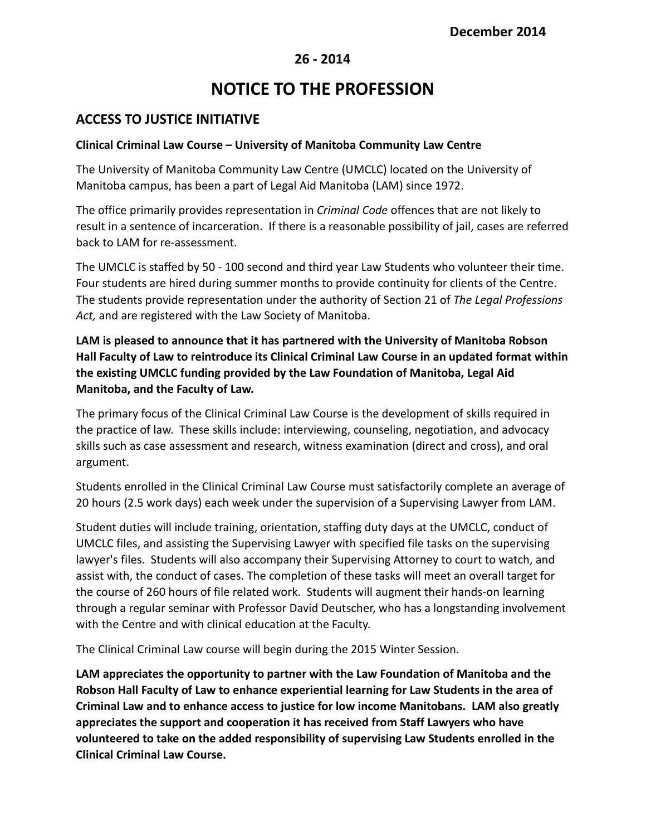### **26 - 2014**

# **NOTICE TO THE PROFESSION**

## **ACCESS TO JUSTICE INITIATIVE**

#### **Clinical Criminal Law Course – University of Manitoba Community Law Centre**

The University of Manitoba Community Law Centre (UMCLC) located on the University of Manitoba campus, has been a part of Legal Aid Manitoba (LAM) since 1972.

The office primarily provides representation in *Criminal Code* offences that are not likely to result in a sentence of incarceration. If there is a reasonable possibility of jail, cases are referred back to LAM for re-assessment.

The UMCLC is staffed by 50 - 100 second and third year Law Students who volunteer their time. Four students are hired during summer months to provide continuity for clients of the Centre. The students provide representation under the authority of Section 21 of *The Legal Professions Act,* and are registered with the Law Society of Manitoba.

**LAM is pleased to announce that it has partnered with the University of Manitoba Robson Hall Faculty of Law to reintroduce its Clinical Criminal Law Course in an updated format within the existing UMCLC funding provided by the Law Foundation of Manitoba, Legal Aid Manitoba, and the Faculty of Law.**

The primary focus of the Clinical Criminal Law Course is the development of skills required in the practice of law. These skills include: interviewing, counseling, negotiation, and advocacy skills such as case assessment and research, witness examination (direct and cross), and oral argument.

Students enrolled in the Clinical Criminal Law Course must satisfactorily complete an average of 20 hours (2.5 work days) each week under the supervision of a Supervising Lawyer from LAM.

Student duties will include training, orientation, staffing duty days at the UMCLC, conduct of UMCLC files, and assisting the Supervising Lawyer with specified file tasks on the supervising lawyer's files. Students will also accompany their Supervising Attorney to court to watch, and assist with, the conduct of cases. The completion of these tasks will meet an overall target for the course of 260 hours of file related work. Students will augment their hands-on learning through a regular seminar with Professor David Deutscher, who has a longstanding involvement with the Centre and with clinical education at the Faculty.

The Clinical Criminal Law course will begin during the 2015 Winter Session.

**LAM appreciates the opportunity to partner with the Law Foundation of Manitoba and the Robson Hall Faculty of Law to enhance experiential learning for Law Students in the area of Criminal Law and to enhance access to justice for low income Manitobans. LAM also greatly appreciates the support and cooperation it has received from Staff Lawyers who have volunteered to take on the added responsibility of supervising Law Students enrolled in the Clinical Criminal Law Course.**